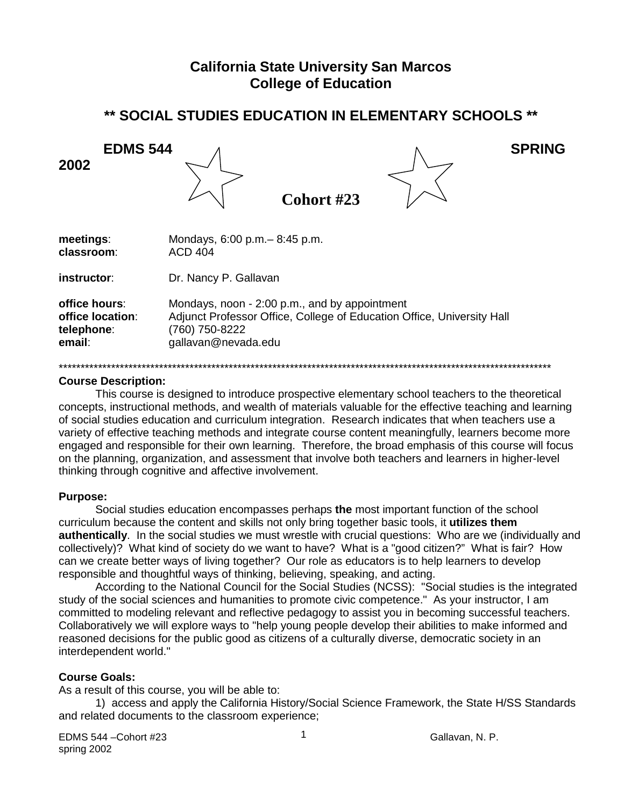# **California State University San Marcos College of Education**

# \*\* SOCIAL STUDIES EDUCATION IN ELEMENTARY SCHOOLS \*\*

**EDMS 544 SPRING** 2002 Cohort #23 meetings: Mondays, 6:00 p.m. - 8:45 p.m. classroom: **ACD 404** Dr. Nancy P. Gallavan instructor:

office hours: Mondays, noon - 2:00 p.m., and by appointment office location: Adjunct Professor Office, College of Education Office, University Hall telephone: (760) 750-8222 email: gallavan@nevada.edu

#### **Course Description:**

This course is designed to introduce prospective elementary school teachers to the theoretical concepts, instructional methods, and wealth of materials valuable for the effective teaching and learning of social studies education and curriculum integration. Research indicates that when teachers use a variety of effective teaching methods and integrate course content meaningfully, learners become more engaged and responsible for their own learning. Therefore, the broad emphasis of this course will focus on the planning, organization, and assessment that involve both teachers and learners in higher-level thinking through cognitive and affective involvement.

#### **Purpose:**

Social studies education encompasses perhaps the most important function of the school curriculum because the content and skills not only bring together basic tools, it utilizes them **authentically.** In the social studies we must wrestle with crucial questions: Who are we (individually and collectively)? What kind of society do we want to have? What is a "good citizen?" What is fair? How can we create better ways of living together? Our role as educators is to help learners to develop responsible and thoughtful ways of thinking, believing, speaking, and acting.

According to the National Council for the Social Studies (NCSS): "Social studies is the integrated study of the social sciences and humanities to promote civic competence." As your instructor, I am committed to modeling relevant and reflective pedagogy to assist you in becoming successful teachers. Collaboratively we will explore ways to "help young people develop their abilities to make informed and reasoned decisions for the public good as citizens of a culturally diverse, democratic society in an interdependent world."

#### **Course Goals:**

As a result of this course, you will be able to:

1) access and apply the California History/Social Science Framework, the State H/SS Standards and related documents to the classroom experience;

EDMS 544 - Cohort #23 spring 2002

 $\mathbf{1}$ 

Gallavan, N. P.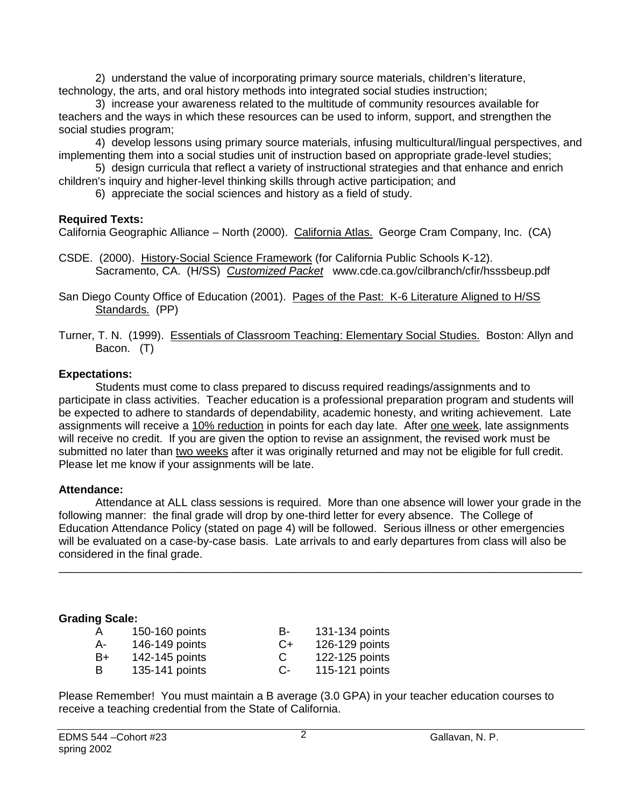2) understand the value of incorporating primary source materials, children's literature, technology, the arts, and oral history methods into integrated social studies instruction;

3) increase your awareness related to the multitude of community resources available for teachers and the ways in which these resources can be used to inform, support, and strengthen the social studies program;

4) develop lessons using primary source materials, infusing multicultural/lingual perspectives, and implementing them into a social studies unit of instruction based on appropriate grade-level studies;

5) design curricula that reflect a variety of instructional strategies and that enhance and enrich children's inquiry and higher-level thinking skills through active participation; and

6) appreciate the social sciences and history as a field of study.

## **Required Texts:**

California Geographic Alliance – North (2000). California Atlas. George Cram Company, Inc. (CA)

CSDE. (2000). History-Social Science Framework (for California Public Schools K-12). Sacramento, CA. (H/SS) *Customized Packet* www.cde.ca.gov/cilbranch/cfir/hsssbeup.pdf

San Diego County Office of Education (2001). Pages of the Past: K-6 Literature Aligned to H/SS Standards. (PP)

Turner, T. N. (1999). Essentials of Classroom Teaching: Elementary Social Studies. Boston: Allyn and Bacon. (T)

## **Expectations:**

Students must come to class prepared to discuss required readings/assignments and to participate in class activities. Teacher education is a professional preparation program and students will be expected to adhere to standards of dependability, academic honesty, and writing achievement. Late assignments will receive a 10% reduction in points for each day late. After one week, late assignments will receive no credit. If you are given the option to revise an assignment, the revised work must be submitted no later than two weeks after it was originally returned and may not be eligible for full credit. Please let me know if your assignments will be late.

## **Attendance:**

Attendance at ALL class sessions is required. More than one absence will lower your grade in the following manner: the final grade will drop by one-third letter for every absence. The College of Education Attendance Policy (stated on page 4) will be followed. Serious illness or other emergencies will be evaluated on a case-by-case basis. Late arrivals to and early departures from class will also be considered in the final grade.

\_\_\_\_\_\_\_\_\_\_\_\_\_\_\_\_\_\_\_\_\_\_\_\_\_\_\_\_\_\_\_\_\_\_\_\_\_\_\_\_\_\_\_\_\_\_\_\_\_\_\_\_\_\_\_\_\_\_\_\_\_\_\_\_\_\_\_\_\_\_\_\_\_\_\_\_\_\_\_\_\_\_\_\_

## **Grading Scale:**

| $\overline{A}$ | 150-160 points | в-   | 131-134 points |
|----------------|----------------|------|----------------|
| А-             | 146-149 points | $C+$ | 126-129 points |
| B+             | 142-145 points | C    | 122-125 points |
| в              | 135-141 points | $C-$ | 115-121 points |

Please Remember! You must maintain a B average (3.0 GPA) in your teacher education courses to receive a teaching credential from the State of California.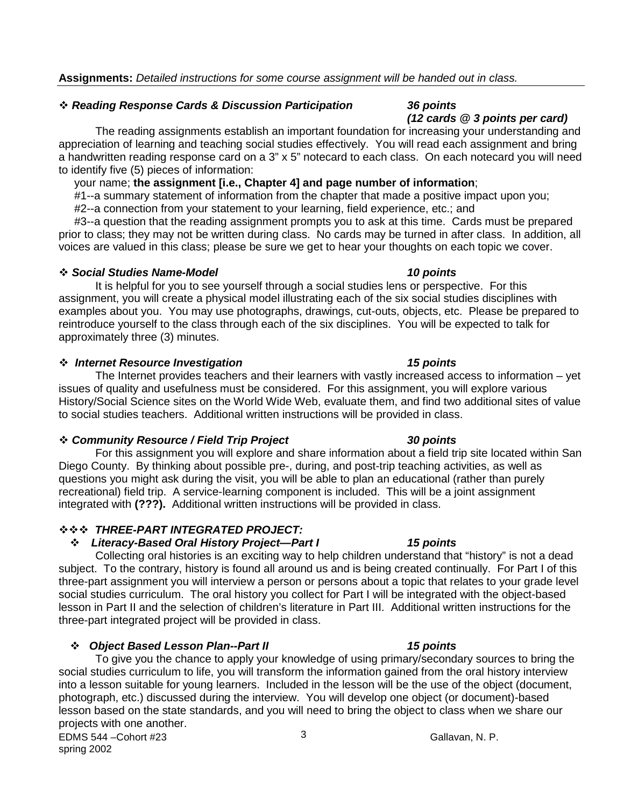## *Reading Response Cards & Discussion Participation 36 points*

The reading assignments establish an important foundation for increasing your understanding and appreciation of learning and teaching social studies effectively. You will read each assignment and bring a handwritten reading response card on a 3" x 5" notecard to each class. On each notecard you will need to identify five (5) pieces of information:

your name; **the assignment [i.e., Chapter 4] and page number of information**;

#1--a summary statement of information from the chapter that made a positive impact upon you;

#2--a connection from your statement to your learning, field experience, etc.; and

 #3--a question that the reading assignment prompts you to ask at this time. Cards must be prepared prior to class; they may not be written during class. No cards may be turned in after class. In addition, all voices are valued in this class; please be sure we get to hear your thoughts on each topic we cover.

#### *Social Studies Name-Model 10 points*

It is helpful for you to see yourself through a social studies lens or perspective. For this assignment, you will create a physical model illustrating each of the six social studies disciplines with examples about you. You may use photographs, drawings, cut-outs, objects, etc. Please be prepared to reintroduce yourself to the class through each of the six disciplines. You will be expected to talk for approximately three (3) minutes.

## *Internet Resource Investigation 15 points*

The Internet provides teachers and their learners with vastly increased access to information – yet issues of quality and usefulness must be considered. For this assignment, you will explore various History/Social Science sites on the World Wide Web, evaluate them, and find two additional sites of value to social studies teachers. Additional written instructions will be provided in class.

## *Community Resource / Field Trip Project 30 points*

For this assignment you will explore and share information about a field trip site located within San Diego County. By thinking about possible pre-, during, and post-trip teaching activities, as well as questions you might ask during the visit, you will be able to plan an educational (rather than purely recreational) field trip. A service-learning component is included. This will be a joint assignment integrated with **(???).** Additional written instructions will be provided in class.

## *THREE-PART INTEGRATED PROJECT:*

## *Literacy-Based Oral History Project—Part I 15 points*

Collecting oral histories is an exciting way to help children understand that "history" is not a dead subject. To the contrary, history is found all around us and is being created continually. For Part I of this three-part assignment you will interview a person or persons about a topic that relates to your grade level social studies curriculum. The oral history you collect for Part I will be integrated with the object-based lesson in Part II and the selection of children's literature in Part III. Additional written instructions for the three-part integrated project will be provided in class.

## *Object Based Lesson Plan--Part II 15 points*

3 To give you the chance to apply your knowledge of using primary/secondary sources to bring the social studies curriculum to life, you will transform the information gained from the oral history interview into a lesson suitable for young learners. Included in the lesson will be the use of the object (document, photograph, etc.) discussed during the interview. You will develop one object (or document)-based lesson based on the state standards, and you will need to bring the object to class when we share our projects with one another.

EDMS 544 –Cohort #23  $\frac{3}{2}$  Gallavan, N. P. spring 2002

*(12 cards @ 3 points per card)*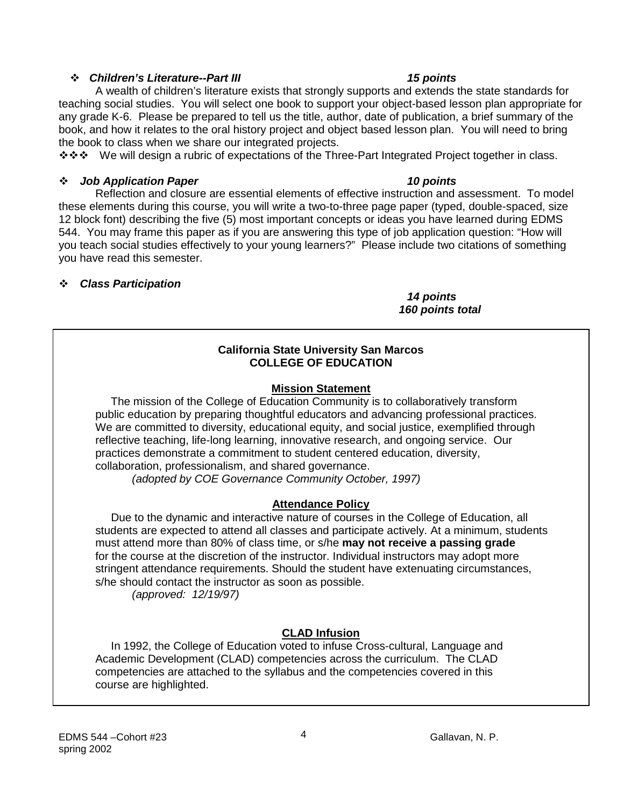## *Children's Literature--Part III 15 points*

A wealth of children's literature exists that strongly supports and extends the state standards for teaching social studies. You will select one book to support your object-based lesson plan appropriate for any grade K-6. Please be prepared to tell us the title, author, date of publication, a brief summary of the book, and how it relates to the oral history project and object based lesson plan. You will need to bring the book to class when we share our integrated projects.

\* \* \* We will design a rubric of expectations of the Three-Part Integrated Project together in class.

## *Job Application Paper 10 points*

Reflection and closure are essential elements of effective instruction and assessment. To model these elements during this course, you will write a two-to-three page paper (typed, double-spaced, size 12 block font) describing the five (5) most important concepts or ideas you have learned during EDMS 544. You may frame this paper as if you are answering this type of job application question: "How will you teach social studies effectively to your young learners?" Please include two citations of something you have read this semester.

## *Class Participation*

*14 points 160 points total*

### **California State University San Marcos COLLEGE OF EDUCATION**

## **Mission Statement**

 The mission of the College of Education Community is to collaboratively transform public education by preparing thoughtful educators and advancing professional practices. We are committed to diversity, educational equity, and social justice, exemplified through reflective teaching, life-long learning, innovative research, and ongoing service. Our practices demonstrate a commitment to student centered education, diversity, collaboration, professionalism, and shared governance.

 *(adopted by COE Governance Community October, 1997)*

## **Attendance Policy**

 Due to the dynamic and interactive nature of courses in the College of Education, all students are expected to attend all classes and participate actively. At a minimum, students must attend more than 80% of class time, or s/he **may not receive a passing grade** for the course at the discretion of the instructor. Individual instructors may adopt more stringent attendance requirements. Should the student have extenuating circumstances, s/he should contact the instructor as soon as possible.

 *(approved: 12/19/97)*

# **CLAD Infusion**

 In 1992, the College of Education voted to infuse Cross-cultural, Language and Academic Development (CLAD) competencies across the curriculum. The CLAD competencies are attached to the syllabus and the competencies covered in this course are highlighted.